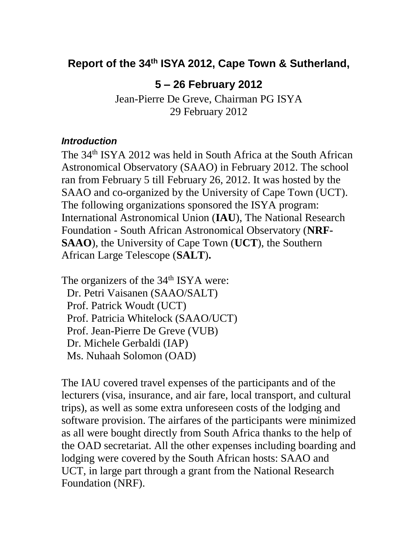## **Report of the 34th ISYA 2012, Cape Town & Sutherland,**

## **5 – 26 February 2012**

Jean-Pierre De Greve, Chairman PG ISYA 29 February 2012

## *Introduction*

The 34th ISYA 2012 was held in South Africa at the South African Astronomical Observatory (SAAO) in February 2012. The school ran from February 5 till February 26, 2012. It was hosted by the SAAO and co-organized by the University of Cape Town (UCT). The following organizations sponsored the ISYA program: International Astronomical Union (**IAU**), The National Research Foundation - South African Astronomical Observatory (**NRF-SAAO**), the University of Cape Town (**UCT**), the Southern African Large Telescope (**SALT**)**.**

The organizers of the 34<sup>th</sup> ISYA were: Dr. Petri Vaisanen (SAAO/SALT) Prof. Patrick Woudt (UCT) Prof. Patricia Whitelock (SAAO/UCT) Prof. Jean-Pierre De Greve (VUB) Dr. Michele Gerbaldi (IAP) Ms. Nuhaah Solomon (OAD)

The IAU covered travel expenses of the participants and of the lecturers (visa, insurance, and air fare, local transport, and cultural trips), as well as some extra unforeseen costs of the lodging and software provision. The airfares of the participants were minimized as all were bought directly from South Africa thanks to the help of the OAD secretariat. All the other expenses including boarding and lodging were covered by the South African hosts: SAAO and UCT, in large part through a grant from the National Research Foundation (NRF).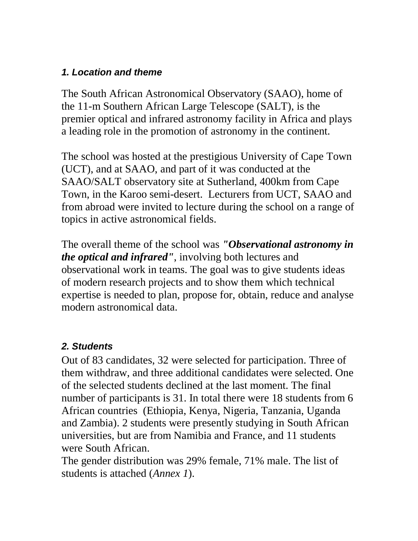## *1. Location and theme*

The South African Astronomical Observatory (SAAO), home of the 11-m Southern African Large Telescope (SALT), is the premier optical and infrared astronomy facility in Africa and plays a leading role in the promotion of astronomy in the continent.

The school was hosted at the prestigious University of Cape Town (UCT), and at SAAO, and part of it was conducted at the SAAO/SALT observatory site at Sutherland, 400km from Cape Town, in the Karoo semi-desert. Lecturers from UCT, SAAO and from abroad were invited to lecture during the school on a range of topics in active astronomical fields.

The overall theme of the school was *"Observational astronomy in the optical and infrared"*, involving both lectures and observational work in teams. The goal was to give students ideas of modern research projects and to show them which technical expertise is needed to plan, propose for, obtain, reduce and analyse modern astronomical data.

## *2. Students*

Out of 83 candidates, 32 were selected for participation. Three of them withdraw, and three additional candidates were selected. One of the selected students declined at the last moment. The final number of participants is 31. In total there were 18 students from 6 African countries (Ethiopia, Kenya, Nigeria, Tanzania, Uganda and Zambia). 2 students were presently studying in South African universities, but are from Namibia and France, and 11 students were South African.

The gender distribution was 29% female, 71% male. The list of students is attached (*Annex 1*).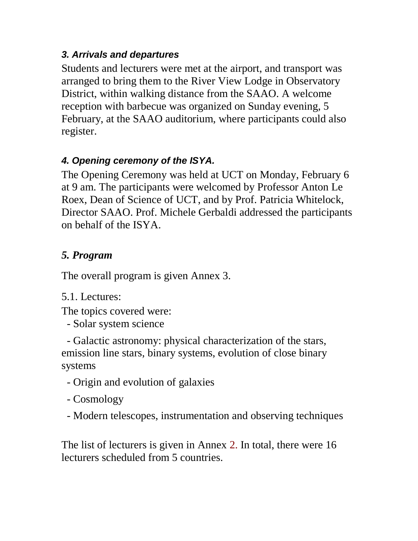## *3. Arrivals and departures*

Students and lecturers were met at the airport, and transport was arranged to bring them to the River View Lodge in Observatory District, within walking distance from the SAAO. A welcome reception with barbecue was organized on Sunday evening, 5 February, at the SAAO auditorium, where participants could also register.

## *4. Opening ceremony of the ISYA.*

The Opening Ceremony was held at UCT on Monday, February 6 at 9 am. The participants were welcomed by Professor Anton Le Roex, Dean of Science of UCT, and by Prof. Patricia Whitelock, Director SAAO. Prof. Michele Gerbaldi addressed the participants on behalf of the ISYA.

# *5. Program*

The overall program is given Annex 3.

# 5.1. Lectures:

The topics covered were:

- Solar system science

 - Galactic astronomy: physical characterization of the stars, emission line stars, binary systems, evolution of close binary systems

- Origin and evolution of galaxies
- Cosmology
- Modern telescopes, instrumentation and observing techniques

The list of lecturers is given in Annex 2. In total, there were 16 lecturers scheduled from 5 countries.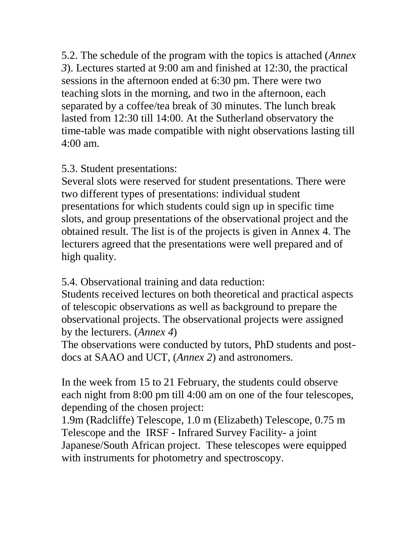5.2. The schedule of the program with the topics is attached (*Annex 3*). Lectures started at 9:00 am and finished at 12:30, the practical sessions in the afternoon ended at 6:30 pm. There were two teaching slots in the morning, and two in the afternoon, each separated by a coffee/tea break of 30 minutes. The lunch break lasted from 12:30 till 14:00. At the Sutherland observatory the time-table was made compatible with night observations lasting till 4:00 am.

## 5.3. Student presentations:

Several slots were reserved for student presentations. There were two different types of presentations: individual student presentations for which students could sign up in specific time slots, and group presentations of the observational project and the obtained result. The list is of the projects is given in Annex 4. The lecturers agreed that the presentations were well prepared and of high quality.

5.4. Observational training and data reduction:

Students received lectures on both theoretical and practical aspects of telescopic observations as well as background to prepare the observational projects. The observational projects were assigned by the lecturers. (*Annex 4*)

The observations were conducted by tutors, PhD students and postdocs at SAAO and UCT, (*Annex 2*) and astronomers.

In the week from 15 to 21 February, the students could observe each night from 8:00 pm till 4:00 am on one of the four telescopes, depending of the chosen project:

1.9m (Radcliffe) Telescope, 1.0 m (Elizabeth) Telescope, 0.75 m Telescope and the IRSF - Infrared Survey Facility- a joint Japanese/South African project. These telescopes were equipped with instruments for photometry and spectroscopy.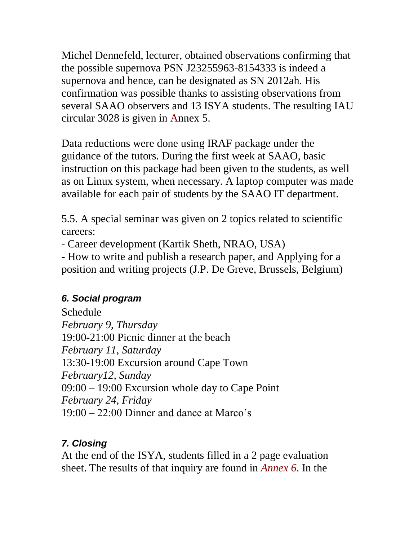Michel Dennefeld, lecturer, obtained observations confirming that the possible supernova PSN J23255963-8154333 is indeed a supernova and hence, can be designated as SN 2012ah. His confirmation was possible thanks to assisting observations from several SAAO observers and 13 ISYA students. The resulting IAU circular 3028 is given in Annex 5.

Data reductions were done using IRAF package under the guidance of the tutors. During the first week at SAAO, basic instruction on this package had been given to the students, as well as on Linux system, when necessary. A laptop computer was made available for each pair of students by the SAAO IT department.

5.5. A special seminar was given on 2 topics related to scientific careers:

- Career development (Kartik Sheth, NRAO, USA)

- How to write and publish a research paper, and Applying for a position and writing projects (J.P. De Greve, Brussels, Belgium)

## *6. Social program*

Schedule *February 9, Thursday* 19:00-21:00 Picnic dinner at the beach *February 11, Saturday* 13:30-19:00 Excursion around Cape Town *February12, Sunday* 09:00 – 19:00 Excursion whole day to Cape Point *February 24, Friday* 19:00 – 22:00 Dinner and dance at Marco's

## *7. Closing*

At the end of the ISYA, students filled in a 2 page evaluation sheet. The results of that inquiry are found in *Annex 6*. In the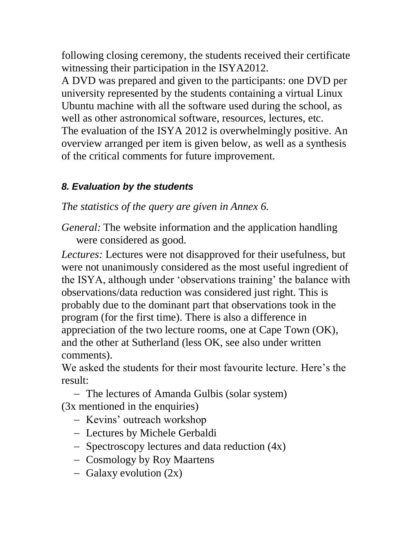following closing ceremony, the students received their certificate witnessing their participation in the ISYA2012.

A DVD was prepared and given to the participants: one DVD per university represented by the students containing a virtual Linux Ubuntu machine with all the software used during the school, as well as other astronomical software, resources, lectures, etc. The evaluation of the ISYA 2012 is overwhelmingly positive. An overview arranged per item is given below, as well as a synthesis of the critical comments for future improvement.

# *8. Evaluation by the students*

*The statistics of the query are given in Annex 6.*

*General:* The website information and the application handling were considered as good.

*Lectures:* Lectures were not disapproved for their usefulness, but were not unanimously considered as the most useful ingredient of the ISYA, although under 'observations training' the balance with observations/data reduction was considered just right. This is probably due to the dominant part that observations took in the program (for the first time). There is also a difference in appreciation of the two lecture rooms, one at Cape Town (OK), and the other at Sutherland (less OK, see also under written comments).

We asked the students for their most favourite lecture. Here's the result:

 The lectures of Amanda Gulbis (solar system) (3x mentioned in the enquiries)

- Kevins' outreach workshop
- Lectures by Michele Gerbaldi
- $-$  Spectroscopy lectures and data reduction  $(4x)$
- Cosmology by Roy Maartens
- $-$  Galaxy evolution  $(2x)$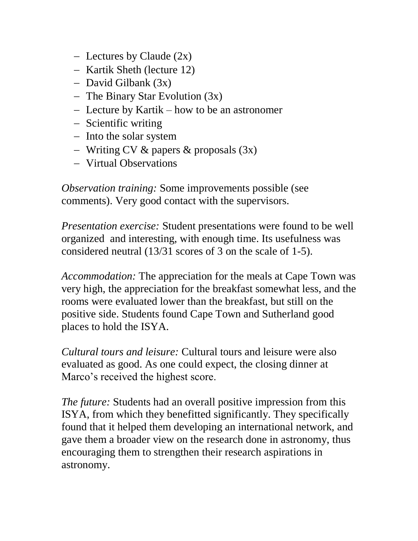- Lectures by Claude  $(2x)$
- Kartik Sheth (lecture 12)
- $-$  David Gilbank  $(3x)$
- The Binary Star Evolution (3x)
- Lecture by Kartik how to be an astronomer
- Scientific writing
- Into the solar system
- Writing CV  $&$  papers  $&$  proposals  $(3x)$
- Virtual Observations

*Observation training:* Some improvements possible (see comments). Very good contact with the supervisors.

*Presentation exercise:* Student presentations were found to be well organized and interesting, with enough time. Its usefulness was considered neutral (13/31 scores of 3 on the scale of 1-5).

*Accommodation:* The appreciation for the meals at Cape Town was very high, the appreciation for the breakfast somewhat less, and the rooms were evaluated lower than the breakfast, but still on the positive side. Students found Cape Town and Sutherland good places to hold the ISYA.

*Cultural tours and leisure:* Cultural tours and leisure were also evaluated as good. As one could expect, the closing dinner at Marco's received the highest score.

*The future:* Students had an overall positive impression from this ISYA, from which they benefitted significantly. They specifically found that it helped them developing an international network, and gave them a broader view on the research done in astronomy, thus encouraging them to strengthen their research aspirations in astronomy.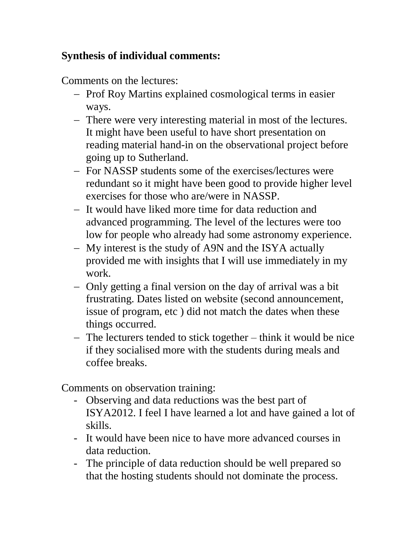## **Synthesis of individual comments:**

Comments on the lectures:

- Prof Roy Martins explained cosmological terms in easier ways.
- There were very interesting material in most of the lectures. It might have been useful to have short presentation on reading material hand-in on the observational project before going up to Sutherland.
- For NASSP students some of the exercises/lectures were redundant so it might have been good to provide higher level exercises for those who are/were in NASSP.
- It would have liked more time for data reduction and advanced programming. The level of the lectures were too low for people who already had some astronomy experience.
- My interest is the study of A9N and the ISYA actually provided me with insights that I will use immediately in my work.
- Only getting a final version on the day of arrival was a bit frustrating. Dates listed on website (second announcement, issue of program, etc ) did not match the dates when these things occurred.
- The lecturers tended to stick together think it would be nice if they socialised more with the students during meals and coffee breaks.

Comments on observation training:

- Observing and data reductions was the best part of ISYA2012. I feel I have learned a lot and have gained a lot of skills.
- It would have been nice to have more advanced courses in data reduction.
- The principle of data reduction should be well prepared so that the hosting students should not dominate the process.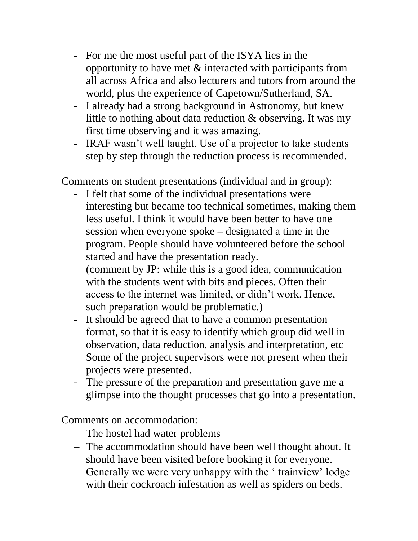- For me the most useful part of the ISYA lies in the opportunity to have met & interacted with participants from all across Africa and also lecturers and tutors from around the world, plus the experience of Capetown/Sutherland, SA.
- I already had a strong background in Astronomy, but knew little to nothing about data reduction & observing. It was my first time observing and it was amazing.
- IRAF wasn't well taught. Use of a projector to take students step by step through the reduction process is recommended.

Comments on student presentations (individual and in group):

- I felt that some of the individual presentations were interesting but became too technical sometimes, making them less useful. I think it would have been better to have one session when everyone spoke – designated a time in the program. People should have volunteered before the school started and have the presentation ready. (comment by JP: while this is a good idea, communication with the students went with bits and pieces. Often their access to the internet was limited, or didn't work. Hence, such preparation would be problematic.)
- It should be agreed that to have a common presentation format, so that it is easy to identify which group did well in observation, data reduction, analysis and interpretation, etc Some of the project supervisors were not present when their projects were presented.
- The pressure of the preparation and presentation gave me a glimpse into the thought processes that go into a presentation.

Comments on accommodation:

- The hostel had water problems
- The accommodation should have been well thought about. It should have been visited before booking it for everyone. Generally we were very unhappy with the ' trainview' lodge with their cockroach infestation as well as spiders on beds.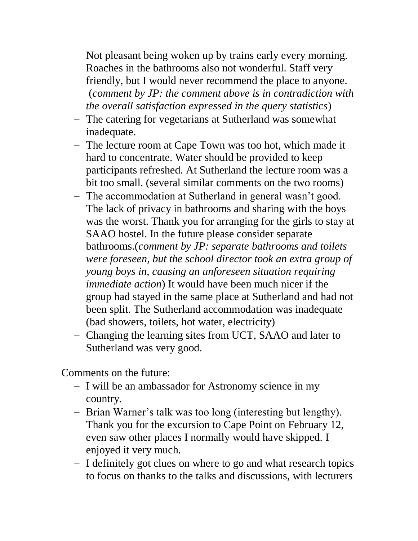Not pleasant being woken up by trains early every morning. Roaches in the bathrooms also not wonderful. Staff very friendly, but I would never recommend the place to anyone. (*comment by JP: the comment above is in contradiction with the overall satisfaction expressed in the query statistics*)

- The catering for vegetarians at Sutherland was somewhat inadequate.
- The lecture room at Cape Town was too hot, which made it hard to concentrate. Water should be provided to keep participants refreshed. At Sutherland the lecture room was a bit too small. (several similar comments on the two rooms)
- The accommodation at Sutherland in general wasn't good. The lack of privacy in bathrooms and sharing with the boys was the worst. Thank you for arranging for the girls to stay at SAAO hostel. In the future please consider separate bathrooms.(*comment by JP: separate bathrooms and toilets were foreseen, but the school director took an extra group of young boys in, causing an unforeseen situation requiring immediate action*) It would have been much nicer if the group had stayed in the same place at Sutherland and had not been split. The Sutherland accommodation was inadequate (bad showers, toilets, hot water, electricity)
- Changing the learning sites from UCT, SAAO and later to Sutherland was very good.

Comments on the future:

- I will be an ambassador for Astronomy science in my country.
- Brian Warner's talk was too long (interesting but lengthy). Thank you for the excursion to Cape Point on February 12, even saw other places I normally would have skipped. I enjoyed it very much.
- I definitely got clues on where to go and what research topics to focus on thanks to the talks and discussions, with lecturers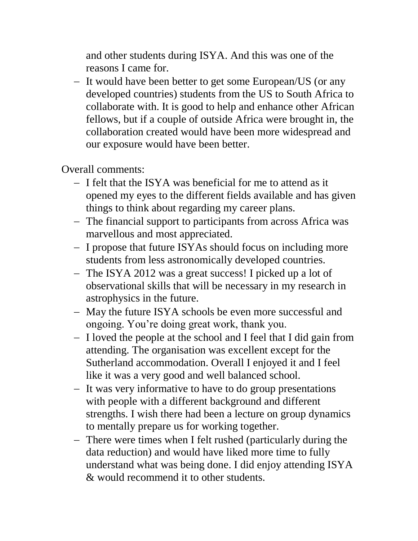and other students during ISYA. And this was one of the reasons I came for.

- It would have been better to get some European/US (or any developed countries) students from the US to South Africa to collaborate with. It is good to help and enhance other African fellows, but if a couple of outside Africa were brought in, the collaboration created would have been more widespread and our exposure would have been better.

Overall comments:

- I felt that the ISYA was beneficial for me to attend as it opened my eyes to the different fields available and has given things to think about regarding my career plans.
- The financial support to participants from across Africa was marvellous and most appreciated.
- I propose that future ISYAs should focus on including more students from less astronomically developed countries.
- The ISYA 2012 was a great success! I picked up a lot of observational skills that will be necessary in my research in astrophysics in the future.
- May the future ISYA schools be even more successful and ongoing. You're doing great work, thank you.
- I loved the people at the school and I feel that I did gain from attending. The organisation was excellent except for the Sutherland accommodation. Overall I enjoyed it and I feel like it was a very good and well balanced school.
- It was very informative to have to do group presentations with people with a different background and different strengths. I wish there had been a lecture on group dynamics to mentally prepare us for working together.
- There were times when I felt rushed (particularly during the data reduction) and would have liked more time to fully understand what was being done. I did enjoy attending ISYA & would recommend it to other students.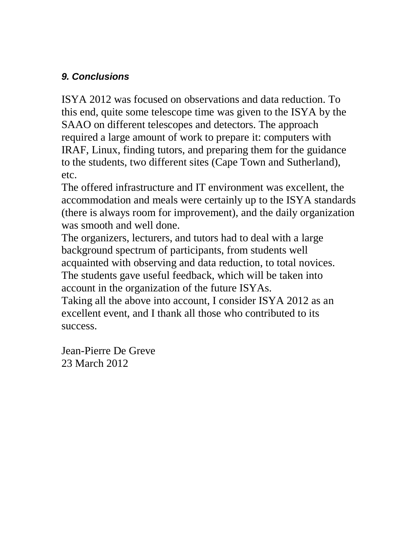## *9. Conclusions*

ISYA 2012 was focused on observations and data reduction. To this end, quite some telescope time was given to the ISYA by the SAAO on different telescopes and detectors. The approach required a large amount of work to prepare it: computers with IRAF, Linux, finding tutors, and preparing them for the guidance to the students, two different sites (Cape Town and Sutherland), etc.

The offered infrastructure and IT environment was excellent, the accommodation and meals were certainly up to the ISYA standards (there is always room for improvement), and the daily organization was smooth and well done.

The organizers, lecturers, and tutors had to deal with a large background spectrum of participants, from students well acquainted with observing and data reduction, to total novices. The students gave useful feedback, which will be taken into account in the organization of the future ISYAs.

Taking all the above into account, I consider ISYA 2012 as an excellent event, and I thank all those who contributed to its success.

Jean-Pierre De Greve 23 March 2012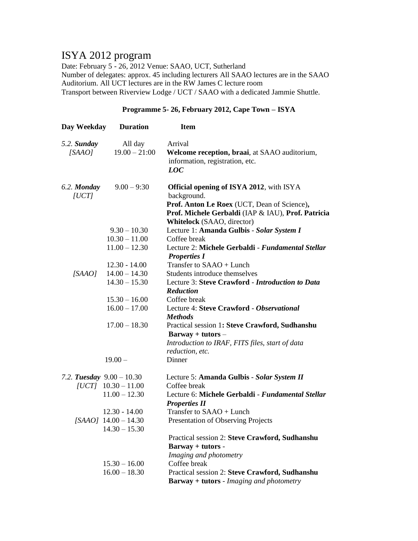## ISYA 2012 program

Date: February 5 - 26, 2012 Venue: SAAO, UCT, Sutherland Number of delegates: approx. 45 including lecturers All SAAO lectures are in the SAAO Auditorium. All UCT lectures are in the RW James C lecture room Transport between Riverview Lodge / UCT / SAAO with a dedicated Jammie Shuttle.

#### **Programme 5- 26, February 2012, Cape Town – ISYA**

| Day Weekday | <b>Duration</b>             | <b>Item</b>                                               |
|-------------|-----------------------------|-----------------------------------------------------------|
| 5.2. Sunday | All day                     | Arrival                                                   |
| [SAAO]      | $19.00 - 21:00$             | Welcome reception, braai, at SAAO auditorium,             |
|             |                             | information, registration, etc.                           |
|             |                             | <b>LOC</b>                                                |
| 6.2. Monday | $9.00 - 9:30$               | <b>Official opening of ISYA 2012</b> , with ISYA          |
| [UCT]       |                             | background.                                               |
|             |                             | Prof. Anton Le Roex (UCT, Dean of Science),               |
|             |                             | Prof. Michele Gerbaldi (IAP & IAU), Prof. Patricia        |
|             |                             | Whitelock (SAAO, director)                                |
|             | $9.30 - 10.30$              | Lecture 1: Amanda Gulbis - Solar System I                 |
|             | $10.30 - 11.00$             | Coffee break                                              |
|             | $11.00 - 12.30$             | Lecture 2: Michele Gerbaldi - Fundamental Stellar         |
|             |                             | <b>Properties I</b>                                       |
|             | $12.30 - 14.00$             | Transfer to SAAO + Lunch                                  |
| [SAAO]      | $14.00 - 14.30$             | Students introduce themselves                             |
|             | $14.30 - 15.30$             | Lecture 3: Steve Crawford - Introduction to Data          |
|             | $15.30 - 16.00$             | <b>Reduction</b>                                          |
|             | $16.00 - 17.00$             | Coffee break<br>Lecture 4: Steve Crawford - Observational |
|             |                             | <b>Methods</b>                                            |
|             | $17.00 - 18.30$             | Practical session 1: Steve Crawford, Sudhanshu            |
|             |                             | $Barway + tutors -$                                       |
|             |                             | Introduction to IRAF, FITS files, start of data           |
|             |                             | reduction, etc.                                           |
|             | $19.00 -$                   | Dinner                                                    |
|             | 7.2. Tuesday $9.00 - 10.30$ | Lecture 5: Amanda Gulbis - Solar System II                |
|             | $[UCT]$ 10.30 - 11.00       | Coffee break                                              |
|             | $11.00 - 12.30$             | Lecture 6: Michele Gerbaldi - Fundamental Stellar         |
|             |                             | <b>Properties II</b>                                      |
|             | $12.30 - 14.00$             | Transfer to SAAO + Lunch                                  |
|             | [SAAO] $14.00 - 14.30$      | Presentation of Observing Projects                        |
|             | $14.30 - 15.30$             |                                                           |
|             |                             | Practical session 2: Steve Crawford, Sudhanshu            |
|             |                             | Barway + tutors -                                         |
|             |                             | Imaging and photometry                                    |
|             | $15.30 - 16.00$             | Coffee break                                              |
|             | $16.00 - 18.30$             | Practical session 2: Steve Crawford, Sudhanshu            |
|             |                             | <b>Barway + tutors - Imaging and photometry</b>           |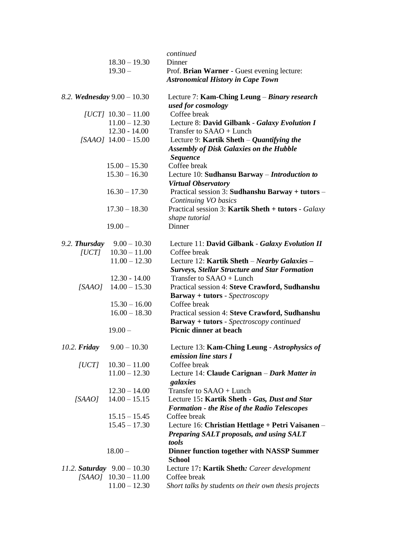|                |                               | continued                                                                                            |
|----------------|-------------------------------|------------------------------------------------------------------------------------------------------|
|                | $18.30 - 19.30$               | Dinner                                                                                               |
|                | $19.30 -$                     | Prof. Brian Warner - Guest evening lecture:<br><b>Astronomical History in Cape Town</b>              |
|                | 8.2. Wednesday $9.00 - 10.30$ | Lecture 7: Kam-Ching Leung – Binary research<br>used for cosmology                                   |
|                | [UCT] $10.30 - 11.00$         | Coffee break                                                                                         |
|                | $11.00 - 12.30$               | Lecture 8: David Gilbank - Galaxy Evolution I                                                        |
|                | $12.30 - 14.00$               | Transfer to SAAO + Lunch                                                                             |
|                | $[SAAO]$ 14.00 - 15.00        | Lecture 9: Kartik Sheth $-Q$ uantifying the                                                          |
|                |                               | <b>Assembly of Disk Galaxies on the Hubble</b>                                                       |
|                |                               | <b>Sequence</b>                                                                                      |
|                | $15.00 - 15.30$               | Coffee break                                                                                         |
|                | $15.30 - 16.30$               | Lecture 10: Sudhansu Barway – Introduction to                                                        |
|                |                               | <b>Virtual Observatory</b>                                                                           |
|                | $16.30 - 17.30$               | Practical session 3: Sudhanshu Barway + tutors -<br>Continuing VO basics                             |
|                | $17.30 - 18.30$               | Practical session 3: Kartik Sheth + tutors - Galaxy<br>shape tutorial                                |
|                | $19.00 -$                     | Dinner                                                                                               |
| 9.2. Thursday  | $9.00 - 10.30$                | Lecture 11: David Gilbank - Galaxy Evolution II                                                      |
| [UCT]          | $10.30 - 11.00$               | Coffee break                                                                                         |
|                | $11.00 - 12.30$               | Lecture 12: Kartik Sheth - Nearby Galaxies -                                                         |
|                |                               | <b>Surveys, Stellar Structure and Star Formation</b>                                                 |
|                | $12.30 - 14.00$               | Transfer to SAAO + Lunch                                                                             |
| [SAAO]         | $14.00 - 15.30$               | Practical session 4: Steve Crawford, Sudhanshu                                                       |
|                |                               | <b>Barway + tutors - Spectroscopy</b>                                                                |
|                | $15.30 - 16.00$               | Coffee break                                                                                         |
|                | $16.00 - 18.30$               | Practical session 4: Steve Crawford, Sudhanshu<br><b>Barway + tutors - Spectroscopy continued</b>    |
|                | $19.00 -$                     | <b>Picnic dinner at beach</b>                                                                        |
| $10.2.$ Friday | $9.00 - 10.30$                | Lecture 13: Kam-Ching Leung - Astrophysics of<br>emission line stars I                               |
| [UCT]          | $10.30 - 11.00$               | Coffee break                                                                                         |
|                | $11.00 - 12.30$               | Lecture 14: Claude Carignan - Dark Matter in<br>galaxies                                             |
|                | $12.30 - 14.00$               | Transfer to SAAO + Lunch                                                                             |
| [SAAO]         | $14.00 - 15.15$               | Lecture 15: Kartik Sheth - Gas, Dust and Star<br><b>Formation - the Rise of the Radio Telescopes</b> |
|                | $15.15 - 15.45$               | Coffee break                                                                                         |
|                | $15.45 - 17.30$               | Lecture 16: Christian Hettlage + Petri Vaisanen –                                                    |
|                |                               | Preparing SALT proposals, and using SALT<br>tools                                                    |
|                | $18.00 -$                     | <b>Dinner function together with NASSP Summer</b>                                                    |
|                |                               | <b>School</b>                                                                                        |
|                | 11.2. Saturday $9.00 - 10.30$ | Lecture 17: Kartik Sheth: Career development                                                         |
|                | $[SAAO]$ 10.30 - 11.00        | Coffee break                                                                                         |
|                | $11.00 - 12.30$               | Short talks by students on their own thesis projects                                                 |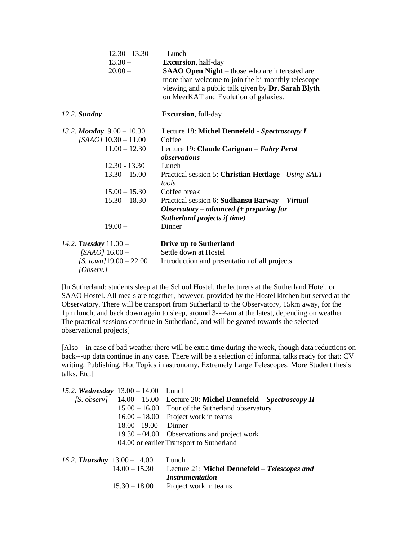| $12.30 - 13.30$<br>$13.30 -$<br>$20.00 -$ | Lunch<br><b>Excursion</b> , half-day<br><b>SAAO Open Night</b> – those who are interested are<br>more than welcome to join the bi-monthly telescope<br>viewing and a public talk given by Dr. Sarah Blyth<br>on MeerKAT and Evolution of galaxies. |
|-------------------------------------------|----------------------------------------------------------------------------------------------------------------------------------------------------------------------------------------------------------------------------------------------------|
| 12.2. Sunday                              | <b>Excursion</b> , full-day                                                                                                                                                                                                                        |
| 13.2. Monday $9.00 - 10.30$               | Lecture 18: Michel Dennefeld - Spectroscopy I                                                                                                                                                                                                      |
| $[SAAO]$ 10.30 - 11.00                    | Coffee                                                                                                                                                                                                                                             |
| $11.00 - 12.30$                           | Lecture 19: Claude Carignan – Fabry Perot<br>observations                                                                                                                                                                                          |
| $12.30 - 13.30$                           | Lunch                                                                                                                                                                                                                                              |
| $13.30 - 15.00$                           | Practical session 5: Christian Hettlage - Using SALT<br>tools                                                                                                                                                                                      |
| $15.00 - 15.30$                           | Coffee break                                                                                                                                                                                                                                       |
| $15.30 - 18.30$                           | Practical session 6: Sudhansu Barway – Virtual<br>Observatory – advanced $($ + preparing for<br>Sutherland projects if time)                                                                                                                       |
| $19.00 -$                                 | Dinner                                                                                                                                                                                                                                             |
| 14.2. Tuesday $11.00 -$                   | Drive up to Sutherland                                                                                                                                                                                                                             |
| [SAAO] $16.00 -$                          | Settle down at Hostel                                                                                                                                                                                                                              |
| [S. town] $19.00 - 22.00$<br>[Observ.]    | Introduction and presentation of all projects                                                                                                                                                                                                      |

[In Sutherland: students sleep at the School Hostel, the lecturers at the Sutherland Hotel, or SAAO Hostel. All meals are together, however, provided by the Hostel kitchen but served at the Observatory. There will be transport from Sutherland to the Observatory, 15km away, for the 1pm lunch, and back down again to sleep, around 3---4am at the latest, depending on weather. The practical sessions continue in Sutherland, and will be geared towards the selected observational projects]

[Also – in case of bad weather there will be extra time during the week, though data reductions on back---up data continue in any case. There will be a selection of informal talks ready for that: CV writing. Publishing. Hot Topics in astronomy. Extremely Large Telescopes. More Student thesis talks. Etc.]

| 15.2. Wednesday $13.00 - 14.00$ |                                | Lunch                                          |
|---------------------------------|--------------------------------|------------------------------------------------|
|                                 | $[S.$ observ $]$ 14.00 – 15.00 | Lecture 20: Michel Dennefeld – Spectroscopy II |
|                                 | $15.00 - 16.00$                | Tour of the Sutherland observatory             |
|                                 |                                | $16.00 - 18.00$ Project work in teams          |
|                                 | $18.00 - 19.00$ Dinner         |                                                |
|                                 |                                | $19.30 - 04.00$ Observations and project work  |
|                                 |                                | 04.00 or earlier Transport to Sutherland       |
| 16.2. Thursday $13.00 - 14.00$  |                                | Lunch                                          |
|                                 | $14.00 - 15.30$                | Lecture 21: Michel Dennefeld – Telescopes and  |
|                                 |                                | <i><b>Instrumentation</b></i>                  |
|                                 | $15.30 - 18.00$                | Project work in teams                          |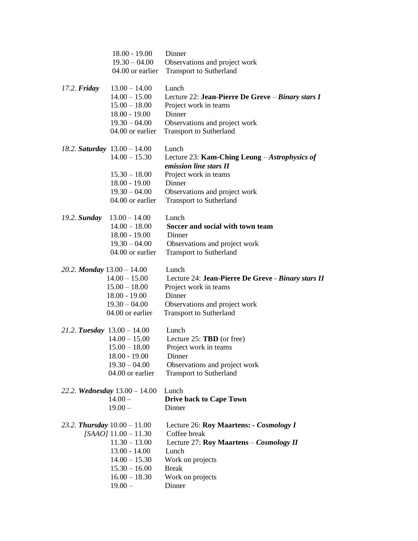|                               | $18.00 - 19.00$<br>$19.30 - 04.00$<br>04.00 or earlier                                                                                                               | Dinner<br>Observations and project work<br><b>Transport to Sutherland</b>                                                                                                              |
|-------------------------------|----------------------------------------------------------------------------------------------------------------------------------------------------------------------|----------------------------------------------------------------------------------------------------------------------------------------------------------------------------------------|
| $17.2.$ Friday                | $13.00 - 14.00$<br>$14.00 - 15.00$<br>$15.00 - 18.00$<br>$18.00 - 19.00$<br>$19.30 - 04.00$<br>04.00 or earlier                                                      | Lunch<br>Lecture 22: Jean-Pierre De Greve – Binary stars I<br>Project work in teams<br>Dinner<br>Observations and project work<br><b>Transport to Sutherland</b>                       |
|                               | 18.2. Saturday $13.00 - 14.00$<br>$14.00 - 15.30$<br>$15.30 - 18.00$<br>$18.00 - 19.00$<br>$19.30 - 04.00$<br>04.00 or earlier                                       | Lunch<br>Lecture 23: Kam-Ching Leung – Astrophysics of<br>emission line stars II<br>Project work in teams<br>Dinner<br>Observations and project work<br><b>Transport to Sutherland</b> |
| $19.2.$ Sunday                | $13.00 - 14.00$<br>$14.00 - 18.00$<br>$18.00 - 19.00$<br>$19.30 - 04.00$<br>04.00 or earlier                                                                         | Lunch<br>Soccer and social with town team<br>Dinner<br>Observations and project work<br><b>Transport to Sutherland</b>                                                                 |
| 20.2. Monday $13.00 - 14.00$  | $14.00 - 15.00$<br>$15.00 - 18.00$<br>$18.00 - 19.00$<br>$19.30 - 04.00$<br>04.00 or earlier                                                                         | Lunch<br>Lecture 24: Jean-Pierre De Greve - Binary stars II<br>Project work in teams<br>Dinner<br>Observations and project work<br><b>Transport to Sutherland</b>                      |
| 21.2. Tuesday $13.00 - 14.00$ | $14.00 - 15.00$<br>$15.00 - 18.00$<br>$18.00 - 19.00$<br>$19.30 - 04.00$<br>04.00 or earlier                                                                         | Lunch<br>Lecture 25: TBD (or free)<br>Project work in teams<br>Dinner<br>Observations and project work<br>Transport to Sutherland                                                      |
|                               | 22.2. Wednesday $13.00 - 14.00$<br>$14.00 -$<br>$19.00 -$                                                                                                            | Lunch<br><b>Drive back to Cape Town</b><br>Dinner                                                                                                                                      |
|                               | 23.2. Thursday $10.00 - 11.00$<br>$[SAAO]$ 11.00 - 11.30<br>$11.30 - 13.00$<br>$13.00 - 14.00$<br>$14.00 - 15.30$<br>$15.30 - 16.00$<br>$16.00 - 18.30$<br>$19.00 -$ | Lecture 26: Roy Maartens: - Cosmology I<br>Coffee break<br>Lecture 27: Roy Maartens – Cosmology II<br>Lunch<br>Work on projects<br><b>Break</b><br>Work on projects<br>Dinner          |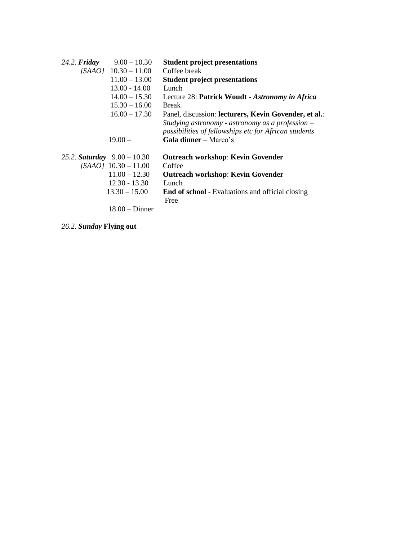| $24.2.$ Friday                | $9.00 - 10.30$         | <b>Student project presentations</b>                    |
|-------------------------------|------------------------|---------------------------------------------------------|
|                               | $[SAAO]$ 10.30 - 11.00 | Coffee break                                            |
|                               | $11.00 - 13.00$        | <b>Student project presentations</b>                    |
|                               | $13.00 - 14.00$        | Lunch                                                   |
|                               | $14.00 - 15.30$        | Lecture 28: Patrick Woudt - Astronomy in Africa         |
|                               | $15.30 - 16.00$        | <b>Break</b>                                            |
|                               | $16.00 - 17.30$        | Panel, discussion: lecturers, Kevin Govender, et al.:   |
|                               |                        | Studying astronomy - astronomy as a profession $-$      |
|                               |                        | possibilities of fellowships etc for African students   |
|                               | $19.00 -$              | Gala dinner - Marco's                                   |
| 25.2. Saturday $9.00 - 10.30$ |                        | <b>Outreach workshop: Kevin Govender</b>                |
|                               | $[SAAO]$ 10.30 - 11.00 | Coffee                                                  |
|                               |                        |                                                         |
|                               | $11.00 - 12.30$        | <b>Outreach workshop: Kevin Govender</b>                |
|                               | $12.30 - 13.30$        | Lunch                                                   |
|                               | $13.30 - 15.00$        | <b>End of school</b> - Evaluations and official closing |
|                               |                        | Free                                                    |
|                               | $18.00 -$ Dinner       |                                                         |

*26.2. Sunday* **Flying out**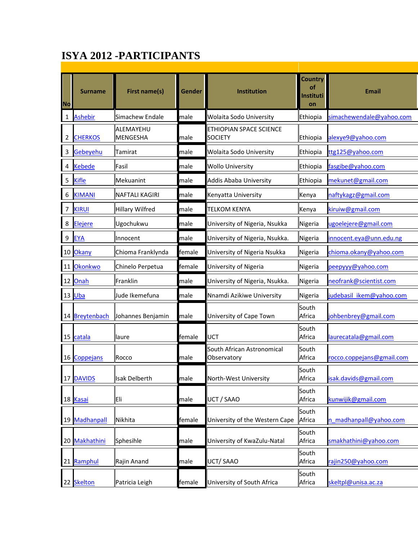# **ISYA 2012 -PARTICIPANTS**

| <b>No</b>      | <b>Surname</b>    | <b>First name(s)</b>         | Gender | <b>Institution</b>                        | <b>Country</b><br>оf<br>Instituti<br>on | Email                     |  |  |  |  |
|----------------|-------------------|------------------------------|--------|-------------------------------------------|-----------------------------------------|---------------------------|--|--|--|--|
| 1              | <b>Ashebir</b>    | Simachew Endale              | male   | Wolaita Sodo University                   | Ethiopia                                | simachewendale@yahoo.com  |  |  |  |  |
| 2              | <b>CHERKOS</b>    | ALEMAYEHU<br><b>MENGESHA</b> | male   | ETHIOPIAN SPACE SCIENCE<br><b>SOCIETY</b> | Ethiopia                                | alexye9@yahoo.com         |  |  |  |  |
| $\overline{3}$ | <b>Gebeyehu</b>   | Tamirat                      | lmale  | Wolaita Sodo University                   | Ethiopia                                | ttg125@yahoo.com          |  |  |  |  |
| 4              | <b>Kebede</b>     | Fasil                        | male   | <b>Wollo University</b>                   | Ethiopia                                | fasgibe@yahoo.com         |  |  |  |  |
| 5              | <b>Kifle</b>      | Mekuanint                    | lmale  | Addis Ababa University                    | Ethiopia                                | mekunet@gmail.com         |  |  |  |  |
| 6              | <b>KIMANI</b>     | <b>NAFTALI KAGIRI</b>        | male   | Kenyatta University                       | Kenya                                   | naftykagz@gmail.com       |  |  |  |  |
| 7              | <b>KIRUI</b>      | <b>Hillary Wilfred</b>       | lmale  | TELKOM KENYA                              | Kenya                                   | kiruiw@gmail.com          |  |  |  |  |
| 8              | Elejere           | Ugochukwu                    | male   | University of Nigeria, Nsukka             | Nigeria                                 | ugoelejere@gmail.com      |  |  |  |  |
| 9              | EYA               | Innocent                     | male   | University of Nigeria, Nsukka.            | Nigeria                                 | innocent.eya@unn.edu.ng   |  |  |  |  |
| 10             | Okany             | Chioma Franklynda            | female | University of Nigeria Nsukka              | Nigeria                                 | chioma.okany@yahoo.com    |  |  |  |  |
| 11             | <b>Okonkwo</b>    | Chinelo Perpetua             | female | University of Nigeria                     | Nigeria                                 | peepyyy@yahoo.com         |  |  |  |  |
| 12             | Onah              | Franklin                     | male   | University of Nigeria, Nsukka.            | Nigeria                                 | neofrank@scientist.com    |  |  |  |  |
|                | $13$ Uba          | Jude Ikemefuna               | male   | Nnamdi Azikiwe University                 | Nigeria                                 | judebasil ikem@yahoo.com  |  |  |  |  |
|                | 14 Breytenbach    | Johannes Benjamin            | male   | University of Cape Town                   | South<br>Africa                         | johbenbrey@gmail.com      |  |  |  |  |
|                | 15 catala         | laure                        | female | UCT                                       | South<br>Africa                         | laurecatala@gmail.com     |  |  |  |  |
| 16             | Coppejans         | Rocco                        | male   | South African Astronomical<br>Observatory | South<br>Africa                         | rocco.coppejans@gmail.com |  |  |  |  |
|                | 17 DAVIDS         | Isak Delberth                | male   | North-West University                     | South<br>Africa                         | isak.davids@gmail.com     |  |  |  |  |
|                | 18 Kasai          | Eli                          | male   | UCT / SAAO                                | South<br>Africa                         | kunwijik@gmail.com        |  |  |  |  |
| 19             | <b>Madhanpall</b> | Nikhita                      | female | University of the Western Cape            | South<br>Africa                         | n madhanpall@yahoo.com    |  |  |  |  |
|                | 20 Makhathini     | Sphesihle                    | male   | University of KwaZulu-Natal               | South<br>Africa                         | smakhathini@yahoo.com     |  |  |  |  |
|                | 21 Ramphul        | Rajin Anand                  | male   | UCT/SAAO                                  | South<br>Africa                         | rajin250@yahoo.com        |  |  |  |  |
|                | 22 Skelton        | Patricia Leigh               | female | University of South Africa                | South<br>Africa                         | skeltpl@unisa.ac.za       |  |  |  |  |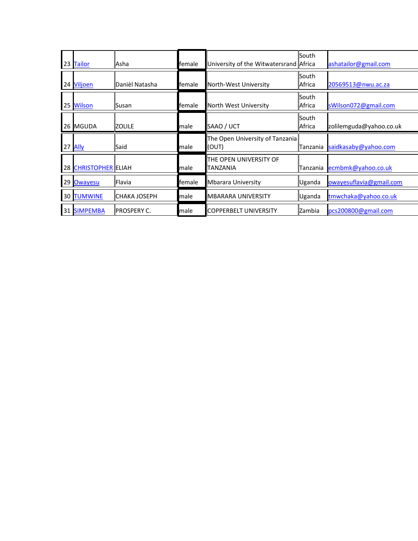|    | 23 Tailor            | Asha                | female | University of the Witwatersrand Africa    | South                  | ashatailor@gmail.com    |
|----|----------------------|---------------------|--------|-------------------------------------------|------------------------|-------------------------|
|    | 24 Viljoen           | Danièl Natasha      | female | North-West University                     | South<br>Africa        | 20569513@nwu.ac.za      |
|    | 25 Wilson            | Susan               | female | North West University                     | <b>South</b><br>Africa | sWilson072@gmail.com    |
|    | 26 MGUDA             | <b>ZOLILE</b>       | male   | SAAO / UCT                                | South<br>Africa        | zolilemguda@yahoo.co.uk |
|    |                      |                     |        |                                           |                        |                         |
|    | 27 Ally              | Said                | male   | The Open University of Tanzania<br>(OUT)  | Tanzania               | saidkasaby@yahoo.com    |
|    | 28 CHRISTOPHER ELIAH |                     | male   | THE OPEN UNIVERSITY OF<br><b>TANZANIA</b> | Tanzania               | ecmbmk@yahoo.co.uk      |
|    | 29 Owayesu           | Flavia              | female | Mbarara University                        | Uganda                 | owayesuflavia@gmail.com |
| 30 | <b>TUMWINE</b>       | <b>CHAKA JOSEPH</b> | male   | <b>MBARARA UNIVERSITY</b>                 | Uganda                 | tmwchaka@yahoo.co.uk    |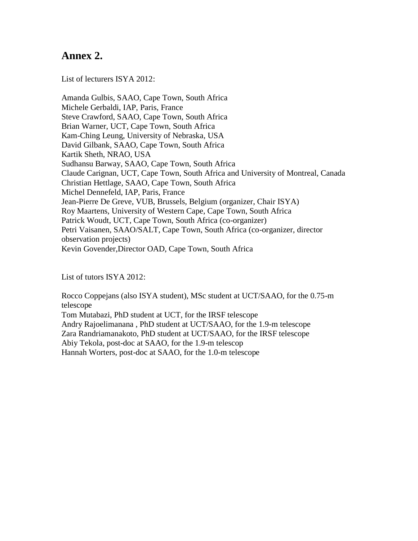## **Annex 2.**

List of lecturers ISYA 2012:

Amanda Gulbis, SAAO, Cape Town, South Africa Michele Gerbaldi, IAP, Paris, France Steve Crawford, SAAO, Cape Town, South Africa Brian Warner, UCT, Cape Town, South Africa Kam-Ching Leung, University of Nebraska, USA David Gilbank, SAAO, Cape Town, South Africa Kartik Sheth, NRAO, USA Sudhansu Barway, SAAO, Cape Town, South Africa Claude Carignan, UCT, Cape Town, South Africa and University of Montreal, Canada Christian Hettlage, SAAO, Cape Town, South Africa Michel Dennefeld, IAP, Paris, France Jean-Pierre De Greve, VUB, Brussels, Belgium (organizer, Chair ISYA) Roy Maartens, University of Western Cape, Cape Town, South Africa Patrick Woudt, UCT, Cape Town, South Africa (co-organizer) Petri Vaisanen, SAAO/SALT, Cape Town, South Africa (co-organizer, director observation projects) Kevin Govender,Director OAD, Cape Town, South Africa

List of tutors ISYA 2012:

Rocco Coppejans (also ISYA student), MSc student at UCT/SAAO, for the 0.75-m telescope Tom Mutabazi, PhD student at UCT, for the IRSF telescope Andry Rajoelimanana , PhD student at UCT/SAAO, for the 1.9-m telescope Zara Randriamanakoto, PhD student at UCT/SAAO, for the IRSF telescope Abiy Tekola, post-doc at SAAO, for the 1.9-m telescop Hannah Worters, post-doc at SAAO, for the 1.0-m telescope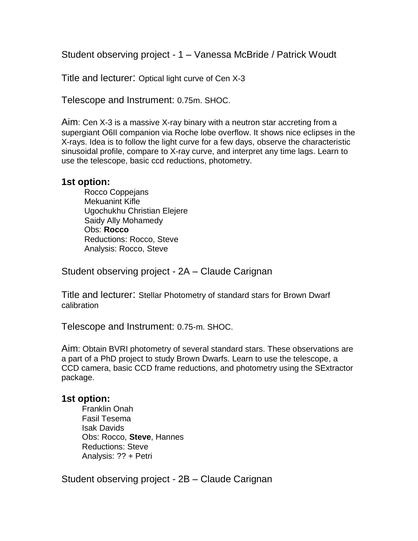Student observing project - 1 – Vanessa McBride / Patrick Woudt

Title and lecturer: Optical light curve of Cen X-3

Telescope and Instrument: 0.75m. SHOC.

Aim: Cen X-3 is a massive X-ray binary with a neutron star accreting from a supergiant O6II companion via Roche lobe overflow. It shows nice eclipses in the X-rays. Idea is to follow the light curve for a few days, observe the characteristic sinusoidal profile, compare to X-ray curve, and interpret any time lags. Learn to use the telescope, basic ccd reductions, photometry.

### **1st option:**

 Rocco Coppejans Mekuanint Kifle Ugochukhu Christian Elejere Saidy Ally Mohamedy Obs: **Rocco** Reductions: Rocco, Steve Analysis: Rocco, Steve

Student observing project - 2A – Claude Carignan

Title and lecturer: Stellar Photometry of standard stars for Brown Dwarf calibration

Telescope and Instrument: 0.75-m. SHOC.

Aim: Obtain BVRI photometry of several standard stars. These observations are a part of a PhD project to study Brown Dwarfs. Learn to use the telescope, a CCD camera, basic CCD frame reductions, and photometry using the SExtractor package.

### **1st option:**

 Franklin Onah Fasil Tesema Isak Davids Obs: Rocco, **Steve**, Hannes Reductions: Steve Analysis: ?? + Petri

Student observing project - 2B – Claude Carignan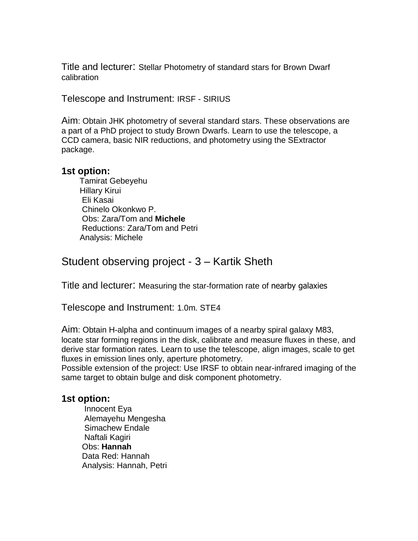Title and lecturer: Stellar Photometry of standard stars for Brown Dwarf calibration

Telescope and Instrument: IRSF - SIRIUS

Aim: Obtain JHK photometry of several standard stars. These observations are a part of a PhD project to study Brown Dwarfs. Learn to use the telescope, a CCD camera, basic NIR reductions, and photometry using the SExtractor package.

#### **1st option:**

 Tamirat Gebeyehu Hillary Kirui Eli Kasai Chinelo Okonkwo P. Obs: Zara/Tom and **Michele** Reductions: Zara/Tom and Petri Analysis: Michele

Student observing project - 3 – Kartik Sheth

Title and lecturer: Measuring the star-formation rate of nearby galaxies

Telescope and Instrument: 1.0m. STE4

Aim: Obtain H-alpha and continuum images of a nearby spiral galaxy M83, locate star forming regions in the disk, calibrate and measure fluxes in these, and derive star formation rates. Learn to use the telescope, align images, scale to get fluxes in emission lines only, aperture photometry.

Possible extension of the project: Use IRSF to obtain near-infrared imaging of the same target to obtain bulge and disk component photometry.

### **1st option:**

 Innocent Eya Alemayehu Mengesha Simachew Endale Naftali Kagiri Obs: **Hannah** Data Red: Hannah Analysis: Hannah, Petri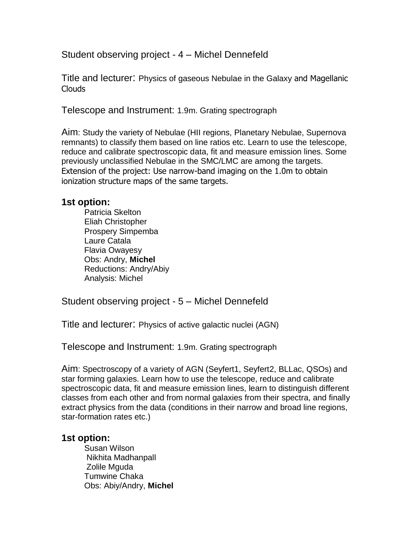Student observing project - 4 – Michel Dennefeld

Title and lecturer: Physics of gaseous Nebulae in the Galaxy and Magellanic Clouds

Telescope and Instrument: 1.9m. Grating spectrograph

Aim: Study the variety of Nebulae (HII regions, Planetary Nebulae, Supernova remnants) to classify them based on line ratios etc. Learn to use the telescope, reduce and calibrate spectroscopic data, fit and measure emission lines. Some previously unclassified Nebulae in the SMC/LMC are among the targets. Extension of the project: Use narrow-band imaging on the 1.0m to obtain ionization structure maps of the same targets.

### **1st option:**

 Patricia Skelton Eliah Christopher Prospery Simpemba Laure Catala Flavia Owayesy Obs: Andry, **Michel** Reductions: Andry/Abiy Analysis: Michel

Student observing project - 5 – Michel Dennefeld

Title and lecturer: Physics of active galactic nuclei (AGN)

Telescope and Instrument: 1.9m. Grating spectrograph

Aim: Spectroscopy of a variety of AGN (Seyfert1, Seyfert2, BLLac, QSOs) and star forming galaxies. Learn how to use the telescope, reduce and calibrate spectroscopic data, fit and measure emission lines, learn to distinguish different classes from each other and from normal galaxies from their spectra, and finally extract physics from the data (conditions in their narrow and broad line regions, star-formation rates etc.)

### **1st option:**

 Susan Wilson Nikhita Madhanpall Zolile Mguda Tumwine Chaka Obs: Abiy/Andry, **Michel**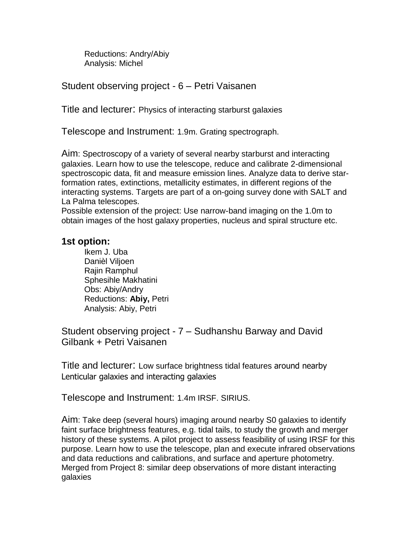Reductions: Andry/Abiy Analysis: Michel

Student observing project - 6 – Petri Vaisanen

Title and lecturer: Physics of interacting starburst galaxies

Telescope and Instrument: 1.9m. Grating spectrograph.

Aim: Spectroscopy of a variety of several nearby starburst and interacting galaxies. Learn how to use the telescope, reduce and calibrate 2-dimensional spectroscopic data, fit and measure emission lines. Analyze data to derive starformation rates, extinctions, metallicity estimates, in different regions of the interacting systems. Targets are part of a on-going survey done with SALT and La Palma telescopes.

Possible extension of the project: Use narrow-band imaging on the 1.0m to obtain images of the host galaxy properties, nucleus and spiral structure etc.

### **1st option:**

 Ikem J. Uba Danièl Viljoen Rajin Ramphul Sphesihle Makhatini Obs: Abiy/Andry Reductions: **Abiy,** Petri Analysis: Abiy, Petri

Student observing project - 7 – Sudhanshu Barway and David Gilbank + Petri Vaisanen

Title and lecturer: Low surface brightness tidal features around nearby Lenticular galaxies and interacting galaxies

Telescope and Instrument: 1.4m IRSF. SIRIUS.

Aim: Take deep (several hours) imaging around nearby S0 galaxies to identify faint surface brightness features, e.g. tidal tails, to study the growth and merger history of these systems. A pilot project to assess feasibility of using IRSF for this purpose. Learn how to use the telescope, plan and execute infrared observations and data reductions and calibrations, and surface and aperture photometry. Merged from Project 8: similar deep observations of more distant interacting galaxies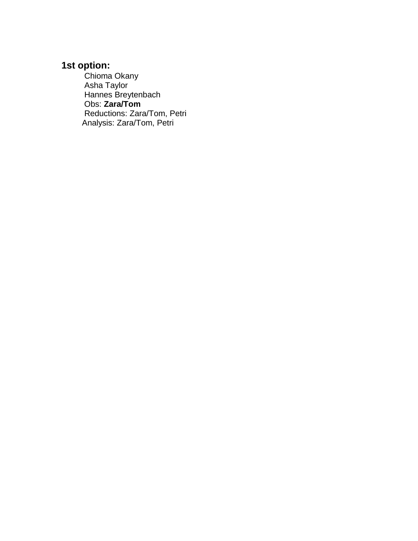## **1st option:**

 Chioma Okany Asha Taylor Hannes Breytenbach Obs: **Zara/Tom** Reductions: Zara/Tom, Petri Analysis: Zara/Tom, Petri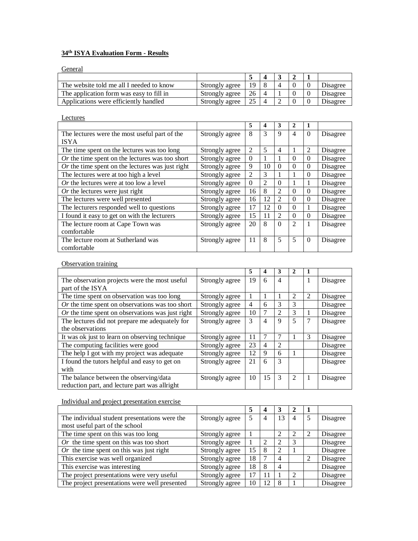### **34th ISYA Evaluation Form - Results**

**General** 

| The website told me all I needed to know | Strongly agree | 19 |  |  | <b>Disagree</b> |
|------------------------------------------|----------------|----|--|--|-----------------|
| The application form was easy to fill in | Strongly agree | 26 |  |  | Disagree        |
| Applications were efficiently handled    | Strongly agree |    |  |  | Disagree        |

| Lectures                                          |                |          |                         |                |              |              |          |
|---------------------------------------------------|----------------|----------|-------------------------|----------------|--------------|--------------|----------|
|                                                   |                | 5        | $\overline{\mathbf{4}}$ | 3              | $\mathbf{2}$ | $\mathbf{1}$ |          |
| The lectures were the most useful part of the     | Strongly agree | 8        | 3                       | 9              | 4            | $\Omega$     | Disagree |
| <b>ISYA</b>                                       |                |          |                         |                |              |              |          |
| The time spent on the lectures was too long       | Strongly agree | 2        | 5                       | 4              | 1            | 2            | Disagree |
| $Or$ the time spent on the lectures was too short | Strongly agree | $\Omega$ | 1                       | 1              | $\Omega$     | $\Omega$     | Disagree |
| Or the time spent on the lectures was just right  | Strongly agree | 9        | 10                      | $\Omega$       | $\Omega$     | $\Omega$     | Disagree |
| The lectures were at too high a level             | Strongly agree | 2        | 3                       | 1              | 1            | $\Omega$     | Disagree |
| Or the lectures were at too low a level           | Strongly agree | $\Omega$ | 2                       | $\Omega$       | 1            | 1            | Disagree |
| $Or$ the lectures were just right                 | Strongly agree | 16       | 8                       | $\overline{2}$ | $\Omega$     | $\Omega$     | Disagree |
| The lectures were well presented                  | Strongly agree | 16       | 12                      | $\overline{2}$ | $\Omega$     | $\Omega$     | Disagree |
| The lecturers responded well to questions         | Strongly agree | 17       | 12                      | $\Omega$       | $\Omega$     | $\mathbf{1}$ | Disagree |
| I found it easy to get on with the lecturers      | Strongly agree | 15       | 11                      | $\mathfrak{D}$ | $\Omega$     | $\Omega$     | Disagree |
| The lecture room at Cape Town was                 | Strongly agree | 20       | 8                       | $\Omega$       | 2            | $\mathbf{1}$ | Disagree |
| comfortable                                       |                |          |                         |                |              |              |          |
| The lecture room at Sutherland was                | Strongly agree | 11       | 8                       | 5              | 5            | $\Omega$     | Disagree |
| comfortable                                       |                |          |                         |                |              |              |          |

#### **Observation training**

|                                                   |                | 5  | 4  | 3              | $\mathbf{2}$   | 1 |          |
|---------------------------------------------------|----------------|----|----|----------------|----------------|---|----------|
| The observation projects were the most useful.    | Strongly agree | 19 | 6  | $\overline{4}$ |                | 1 | Disagree |
| part of the ISYA                                  |                |    |    |                |                |   |          |
| The time spent on observation was too long        | Strongly agree |    |    | 1              | 2              | 2 | Disagree |
| $Or$ the time spent on observations was too short | Strongly agree | 4  | 6  | 3              | 3              |   | Disagree |
| Or the time spent on observations was just right  | Strongly agree | 10 | 7  | $\overline{2}$ | 3              |   | Disagree |
| The lectures did not prepare me adequately for    | Strongly agree | 3  | 4  | 9              | 5              | 7 | Disagree |
| the observations                                  |                |    |    |                |                |   |          |
| It was ok just to learn on observing technique    | Strongly agree | 11 | 7  | 7              | 1              | 3 | Disagree |
| The computing facilities were good                | Strongly agree | 23 | 4  | $\overline{2}$ |                |   | Disagree |
| The help I got with my project was adequate       | Strongly agree | 12 | 9  | 6              | 1              |   | Disagree |
| I found the tutors helpful and easy to get on     | Strongly agree | 21 | 6  | 3              |                |   | Disagree |
| with                                              |                |    |    |                |                |   |          |
| The balance between the observing/data            | Strongly agree | 10 | 15 | $\mathcal{R}$  | $\mathfrak{D}$ |   | Disagree |
| reduction part, and lecture part was allright     |                |    |    |                |                |   |          |

#### Individual and project presentation exercise

|                                               |                |    | 4  |                |   |   |          |
|-----------------------------------------------|----------------|----|----|----------------|---|---|----------|
| The individual student presentations were the | Strongly agree |    | 4  | 13             | 4 | 5 | Disagree |
| most useful part of the school                |                |    |    |                |   |   |          |
| The time spent on this was too long           | Strongly agree |    |    | $\mathfrak{D}$ |   |   | Disagree |
| Or the time spent on this was too short       | Strongly agree |    | 2  | 2              | 3 |   | Disagree |
| Or the time spent on this was just right      | Strongly agree | 15 | 8  | $\mathfrak{D}$ |   |   | Disagree |
| This exercise was well organized              | Strongly agree | 18 |    | 4              |   | 2 | Disagree |
| This exercise was interesting                 | Strongly agree | 18 | 8  | $\overline{4}$ |   |   | Disagree |
| The project presentations were very useful    | Strongly agree | 17 | 11 |                |   |   | Disagree |
| The project presentations were well presented | Strongly agree | 10 | 12 | 8              |   |   | Disagree |